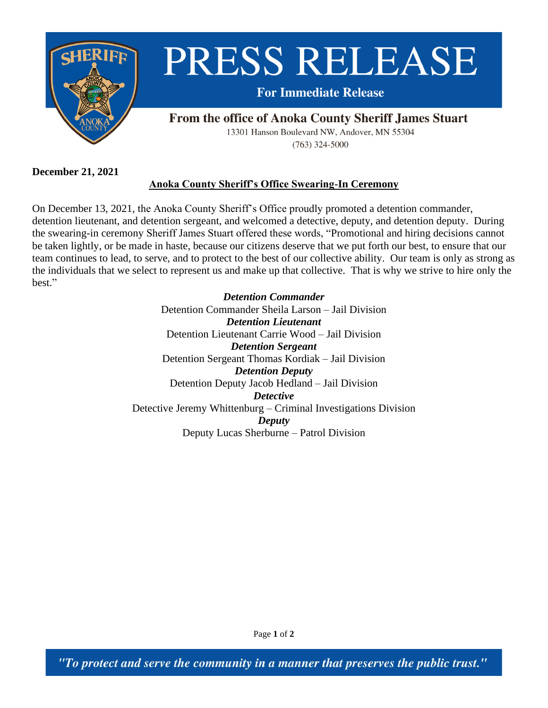

**December 21, 2021**

## **Anoka County Sheriff's Office Swearing-In Ceremony**

On December 13, 2021, the Anoka County Sheriff's Office proudly promoted a detention commander, detention lieutenant, and detention sergeant, and welcomed a detective, deputy, and detention deputy. During the swearing-in ceremony Sheriff James Stuart offered these words, "Promotional and hiring decisions cannot be taken lightly, or be made in haste, because our citizens deserve that we put forth our best, to ensure that our team continues to lead, to serve, and to protect to the best of our collective ability. Our team is only as strong as the individuals that we select to represent us and make up that collective. That is why we strive to hire only the best."

> *Detention Commander* Detention Commander Sheila Larson – Jail Division *Detention Lieutenant* Detention Lieutenant Carrie Wood – Jail Division *Detention Sergeant* Detention Sergeant Thomas Kordiak – Jail Division *Detention Deputy* Detention Deputy Jacob Hedland – Jail Division *Detective* Detective Jeremy Whittenburg – Criminal Investigations Division *Deputy* Deputy Lucas Sherburne – Patrol Division

> > Page **1** of **2**

"To protect and serve the community in a manner that preserves the public trust."